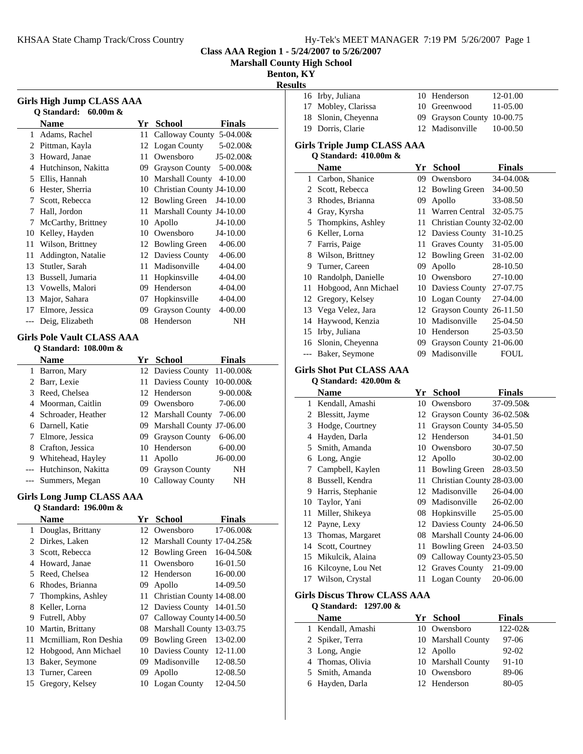16 12-01.00 Irby, Juliana 10 Henderson

**Class AAA Region 1 - 5/24/2007 to 5/26/2007**

**Marshall County High School**

**Benton, KY**

| Benton, KY     |
|----------------|
| <b>Results</b> |

|     |                                                            |    |                                          | <b>Resul</b> |
|-----|------------------------------------------------------------|----|------------------------------------------|--------------|
|     | <b>Girls High Jump CLASS AAA</b>                           |    |                                          |              |
|     | Q Standard: 60.00m &                                       |    |                                          |              |
|     | <b>Name</b>                                                |    | Yr School<br><b>Finals</b>               |              |
|     | 1 Adams, Rachel                                            |    | 11 Calloway County 5-04.00&              |              |
|     | 2 Pittman, Kayla                                           |    | 12 Logan County<br>$5 - 02.00 &$         |              |
|     | 3 Howard, Janae                                            |    | 11 Owensboro<br>$J5-02.00&$              |              |
|     | 4 Hutchinson, Nakitta                                      |    | 09 Grayson County<br>$5 - 00.00 \&$      |              |
|     | 5 Ellis, Hannah                                            |    | 10 Marshall County 4-10.00               |              |
|     | 6 Hester, Sherria                                          |    | 10 Christian County J4-10.00             |              |
|     | 7 Scott, Rebecca                                           |    | 12 Bowling Green<br>J4-10.00             |              |
|     | 7 Hall, Jordon                                             | 11 | Marshall County J4-10.00                 |              |
|     | 7 McCarthy, Brittney                                       | 10 | Apollo<br>J4-10.00                       |              |
|     | 10 Kelley, Hayden                                          |    | 10 Owensboro<br>J4-10.00                 |              |
|     | 11 Wilson, Brittney                                        |    | 12 Bowling Green<br>4-06.00              |              |
| 11  | Addington, Natalie                                         |    | 12 Daviess County<br>4-06.00             |              |
|     | 13 Stutler, Sarah                                          |    | 11 Madisonville<br>4-04.00               |              |
|     | 13 Bussell, Jumaria                                        |    | 11 Hopkinsville<br>4-04.00               |              |
|     | 13 Vowells, Malori                                         |    | 09 Henderson<br>4-04.00                  |              |
|     | 13 Major, Sahara                                           |    | 07 Hopkinsville<br>4-04.00               |              |
|     | 17 Elmore, Jessica                                         | 09 | <b>Grayson County</b><br>4-00.00         |              |
| --- | Deig, Elizabeth                                            | 08 | Henderson<br>NΗ                          |              |
|     |                                                            |    |                                          |              |
|     | <b>Girls Pole Vault CLASS AAA</b><br>Q Standard: 108.00m & |    |                                          |              |
|     | <b>Name</b>                                                |    | <b>Finals</b>                            |              |
|     | 1 Barron, Mary                                             |    | Yr School<br>12 Daviess County 11-00.00& |              |
|     | 2 Barr, Lexie                                              |    | 11 Daviess County 10-00.00&              |              |
|     | 3 Reed, Chelsea                                            |    | 12 Henderson<br>$9 - 00.00 &$            |              |
|     | 4 Moorman, Caitlin                                         |    | 09 Owensboro<br>7-06.00                  |              |
|     | 4 Schroader, Heather                                       |    | 12 Marshall County 7-06.00               |              |
|     | 6 Darnell, Katie                                           |    | 09 Marshall County J7-06.00              |              |
|     | 7 Elmore, Jessica                                          |    | 09 Grayson County<br>6-06.00             |              |
|     | 8 Crafton, Jessica                                         |    | 10 Henderson<br>$6 - 00.00$              |              |
|     | 9 Whitehead, Hayley                                        | 11 | Apollo<br>J6-00.00                       |              |
|     | --- Hutchinson, Nakitta                                    |    | 09 Grayson County<br>NH                  |              |
|     | --- Summers, Megan                                         |    | 10 Calloway County<br>NH                 |              |
|     |                                                            |    |                                          |              |
|     | <b>Girls Long Jump CLASS AAA</b>                           |    |                                          |              |
|     | Q Standard: 196.00m &                                      |    |                                          |              |
|     | Name                                                       |    | <b>Finals</b><br>Yr School               |              |
| 1   | Douglas, Brittany                                          | 12 | Owensboro<br>17-06.00&                   |              |
| 2   | Dirkes, Laken                                              | 12 | Marshall County 17-04.25&                |              |
| 3   | Scott, Rebecca                                             | 12 | <b>Bowling Green</b><br>16-04.50&        |              |
| 4   | Howard, Janae                                              | 11 | Owensboro<br>16-01.50                    |              |
| 5   | Reed, Chelsea                                              | 12 | Henderson<br>16-00.00                    |              |
| 6   | Rhodes, Brianna                                            | 09 | Apollo<br>14-09.50                       |              |
| 7   | Thompkins, Ashley                                          | 11 | Christian County 14-08.00                |              |
| 8   | Keller, Lorna                                              | 12 | Daviess County 14-01.50                  |              |
| 9.  | Futrell, Abby                                              | 07 | Calloway County 14-00.50                 |              |
| 10  | Martin, Brittany                                           | 08 | Marshall County 13-03.75                 |              |
| 11  | Mcmilliam, Ron Deshia                                      | 09 | Bowling Green 13-02.00                   |              |

12 Hobgood, Ann Michael 10 Daviess County 12-11.00 13 Baker, Seymone 09 Madisonville 12-08.50 13 Turner, Careen 09 Apollo 12-08.50 15 Gregory, Kelsey 10 Logan County 12-04.50

| irls Triple Jump CLASS AAA<br>$\Omega$ Standard: 410.00m & |                            |  |
|------------------------------------------------------------|----------------------------|--|
| 19 Dorris, Clarie                                          | 12 Madisonville 10-00.50   |  |
| 18 Slonin, Cheyenna                                        | 09 Grayson County 10-00.75 |  |
| 17 Mobley, Clarissa                                        | 10 Greenwood 11-05.00      |  |
|                                                            |                            |  |

### **Girl Q Standard: 410.00m &**

|       | Name                 | Yr  | <b>School</b>             | Finals       |
|-------|----------------------|-----|---------------------------|--------------|
|       | 1 Carbon, Shanice    | 09  | Owensboro                 | 34-04.00&    |
| 2.    | Scott, Rebecca       |     | 12 Bowling Green          | 34-00.50     |
| 3     | Rhodes, Brianna      | 09  | Apollo                    | 33-08.50     |
| 4     | Gray, Kyrsha         | 11  | Warren Central            | 32-05.75     |
| 5.    | Thompkins, Ashley    | 11  | Christian County 32-02.00 |              |
| 6     | Keller, Lorna        |     | 12 Daviess County         | $31 - 10.25$ |
| 7     | Farris, Paige        | 11  | Graves County             | 31-05.00     |
| 8     | Wilson, Brittney     |     | 12 Bowling Green          | 31-02.00     |
| 9     | Turner, Careen       | 09. | Apollo                    | 28-10.50     |
| 10    | Randolph, Danielle   | 10  | Owensboro                 | 27-10.00     |
| 11    | Hobgood, Ann Michael |     | 10 Daviess County         | 27-07.75     |
| 12    | Gregory, Kelsey      | 10- | Logan County              | 27-04.00     |
|       | 13 Vega Velez, Jara  | 12  | Grayson County 26-11.50   |              |
| 14    | Haywood, Kenzia      | 10  | Madisonville              | 25-04.50     |
| 15    | Irby, Juliana        | 10  | Henderson                 | 25-03.50     |
| 16    | Slonin, Cheyenna     | 09  | Grayson County 21-06.00   |              |
| $---$ | Baker, Seymone       | 09  | Madisonville              | FOUL         |

## **Girls Shot Put CLASS AAA**

**Q Standard: 420.00m &**

|    | <b>Name</b>          | Yr   | <b>School</b>                | <b>Finals</b> |
|----|----------------------|------|------------------------------|---------------|
|    | 1 Kendall, Amashi    | 10.  | Owensboro                    | 37-09.50&     |
| 2  | Blessitt, Jayme      |      | 12 Grayson County 36-02.50&  |               |
| 3  | Hodge, Courtney      | 11   | Grayson County 34-05.50      |               |
| 4  | Hayden, Darla        | 12   | Henderson                    | 34-01.50      |
| 5  | Smith, Amanda        | 10   | Owensboro                    | 30-07.50      |
| 6  | Long, Angie          |      | 12 Apollo                    | 30-02.00      |
| 7  | Campbell, Kaylen     | 11 - | <b>Bowling Green</b>         | 28-03.50      |
| 8  | Bussell, Kendra      |      | 11 Christian County 28-03.00 |               |
| 9. | Harris, Stephanie    |      | 12 Madisonville              | 26-04.00      |
|    | 10 Taylor, Yani      |      | 09 Madisonville              | 26-02.00      |
| 11 | Miller, Shikeya      | 08   | Hopkinsville                 | 25-05.00      |
|    | 12 Payne, Lexy       |      | 12 Daviess County            | 24-06.50      |
|    | 13 Thomas, Margaret  |      | 08 Marshall County 24-06.00  |               |
| 14 | Scott, Courtney      | 11   | <b>Bowling Green</b>         | 24-03.50      |
| 15 | Mikulcik, Alaina     | 09.  | Calloway County 23-05.50     |               |
|    | 16 Kilcoyne, Lou Net |      | 12 Graves County             | 21-09.00      |
| 17 | Wilson, Crystal      | 11   | Logan County                 | 20-06.00      |

#### **Girls Discus Throw CLASS AAA Q Standard: 1297.00 &**

|      | O Standard: $1297.00 \&$ |                    |           |
|------|--------------------------|--------------------|-----------|
| Name |                          | Yr School          | Finals    |
|      | 1 Kendall, Amashi        | 10 Owensboro       | 122-02&   |
|      | 2 Spiker, Terra          | 10 Marshall County | $97-06$   |
|      | 3 Long, Angie            | 12 Apollo          | $92 - 02$ |
|      | 4 Thomas, Olivia         | 10 Marshall County | $91 - 10$ |
|      | 5 Smith, Amanda          | 10 Owensboro       | 89-06     |
|      | 6 Hayden, Darla          | 12 Henderson       | 80-05     |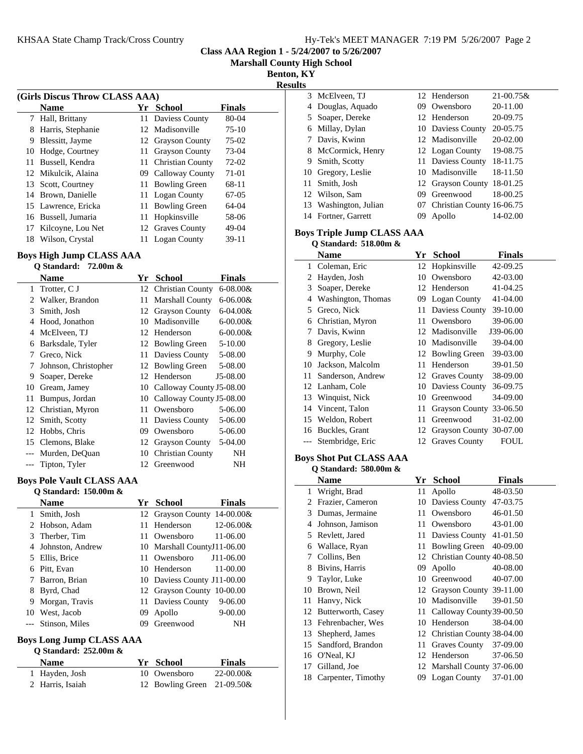**Class AAA Region 1 - 5/24/2007 to 5/26/2007**

**Marshall County High School**

 $\overline{a}$ 

**Benton, KY Results**

| (Girls Discus Throw CLASS AAA) |                     |     |                       |               |  |
|--------------------------------|---------------------|-----|-----------------------|---------------|--|
|                                | <b>Name</b>         | Yr  | School                | <b>Finals</b> |  |
| 7                              | Hall, Brittany      |     | 11 Daviess County     | $80-04$       |  |
| 8                              | Harris, Stephanie   |     | 12 Madisonville       | $75-10$       |  |
| 9                              | Blessitt, Jayme     |     | 12 Grayson County     | $75-02$       |  |
| 10                             | Hodge, Courtney     | 11. | <b>Grayson County</b> | 73-04         |  |
| 11                             | Bussell, Kendra     |     | 11 Christian County   | 72-02         |  |
|                                | 12 Mikulcik, Alaina | 09  | Calloway County       | 71-01         |  |
| 13                             | Scott, Courtney     | 11  | <b>Bowling Green</b>  | 68-11         |  |
|                                | 14 Brown, Danielle  | 11. | Logan County          | 67-05         |  |
|                                | 15 Lawrence, Ericka | 11  | <b>Bowling Green</b>  | 64-04         |  |
|                                | 16 Bussell, Jumaria | 11  | Hopkinsville          | 58-06         |  |
| 17                             | Kilcoyne, Lou Net   |     | 12 Graves County      | 49-04         |  |
| 18                             | Wilson, Crystal     |     | <b>Logan County</b>   | 39-11         |  |
|                                |                     |     |                       |               |  |

### **Boys High Jump CLASS AAA Q Standard: 72.00m &**

|       | V Diamuaru.<br>$12.00$ ill $\alpha$ |     |                          |               |
|-------|-------------------------------------|-----|--------------------------|---------------|
|       | Name                                | Yr  | <b>School</b>            | <b>Finals</b> |
| 1     | Trotter, C J                        |     | 12 Christian County      | $6 - 08.00 &$ |
| 2     | Walker, Brandon                     | 11  | Marshall County          | $6 - 06.00 &$ |
| 3     | Smith, Josh                         |     | 12 Grayson County        | $6 - 04.00 &$ |
| 4     | Hood, Jonathon                      | 10  | Madisonville             | $6 - 00.00 &$ |
| 4     | McElveen, TJ                        | 12  | Henderson                | $6 - 00.00 &$ |
| 6     | Barksdale, Tyler                    |     | 12 Bowling Green         | $5 - 10.00$   |
| 7     | Greco, Nick                         | 11- | Daviess County           | 5-08.00       |
| 7     | Johnson, Christopher                |     | 12 Bowling Green         | 5-08.00       |
| 9     | Soaper, Dereke                      | 12  | Henderson                | J5-08.00      |
| 10    | Gream, Jamey                        | 10  | Calloway County J5-08.00 |               |
| 11    | Bumpus, Jordan                      | 10  | Calloway County J5-08.00 |               |
| 12    | Christian, Myron                    | 11  | Owensboro                | 5-06.00       |
| 12    | Smith, Scotty                       | 11  | Daviess County           | 5-06.00       |
| 12    | Hobbs, Chris                        | 09  | Owensboro                | 5-06.00       |
| 15    | Clemons, Blake                      | 12  | <b>Grayson County</b>    | 5-04.00       |
| $---$ | Murden, DeQuan                      | 10  | <b>Christian County</b>  | NΗ            |
| ---   | Tipton, Tyler                       |     | 12 Greenwood             | NH            |

## **Boys Pole Vault CLASS AAA**

|    | Q Standard: $150.00m \&$ |     |                             |                |
|----|--------------------------|-----|-----------------------------|----------------|
|    | <b>Name</b>              | Yr. | School                      | <b>Finals</b>  |
|    | Smith, Josh              |     | 12 Grayson County 14-00.00& |                |
|    | 2 Hobson, Adam           |     | 11 Henderson                | $12 - 06.00 &$ |
|    | 3 Therber, Tim           |     | 11 Owensboro                | 11-06.00       |
|    | Johnston, Andrew         |     | 10 Marshall CountyJ11-06.00 |                |
| 5. | Ellis, Brice             |     | 11 Owensboro                | J11-06.00      |
| 6  | Pitt, Evan               |     | 10 Henderson                | 11-00.00       |
|    | Barron, Brian            |     | 10 Daviess County J11-00.00 |                |
| 8  | Byrd, Chad               |     | 12 Grayson County 10-00.00  |                |
| 9  | Morgan, Travis           |     | 11 Daviess County           | $9 - 06.00$    |
| 10 | West, Jacob              | 09  | Apollo                      | $9 - 00.00$    |
|    | --- Stinson, Miles       | 09. | Greenwood                   | NH             |

# **Boys Long Jump CLASS AAA**

| O Standard: $252.00m \&$ |                               |                |
|--------------------------|-------------------------------|----------------|
| <b>Name</b>              | Yr School                     | <b>Finals</b>  |
| 1 Hayden, Josh           | 10 Owensboro                  | $22 - 00.00 &$ |
| 2 Harris, Isaiah         | 12 Bowling Green $21-09.50\&$ |                |

|   | 3 McElveen, TJ        |    | 12 Henderson                 | $21 - 00.75$ & |
|---|-----------------------|----|------------------------------|----------------|
|   | 4 Douglas, Aquado     | 09 | Owensboro                    | 20-11.00       |
|   | 5 Soaper, Dereke      |    | 12 Henderson                 | 20-09.75       |
|   | 6 Millay, Dylan       |    | 10 Daviess County            | 20-05.75       |
|   | 7 Davis, Kwinn        |    | 12 Madisonville              | 20-02.00       |
|   | 8 McCormick, Henry    |    | 12 Logan County              | 19-08.75       |
| 9 | Smith, Scotty         |    | 11 Daviess County            | 18-11.75       |
|   | 10 Gregory, Leslie    |    | 10 Madisonville              | 18-11.50       |
|   | 11 Smith, Josh        |    | 12 Grayson County            | 18-01.25       |
|   | 12 Wilson, Sam        | 09 | Greenwood                    | 18-00.25       |
|   | 13 Washington, Julian |    | 07 Christian County 16-06.75 |                |
|   | 14 Fortner, Garrett   | 09 | Apollo                       | 14-02.00       |

## **Boys Triple Jump CLASS AAA Q Standard: 518.00m &**

|    | Name               | Yr. | <b>School</b>              | Finals    |
|----|--------------------|-----|----------------------------|-----------|
| 1  | Coleman, Eric      |     | 12 Hopkinsville            | 42-09.25  |
| 2  | Hayden, Josh       | 10  | Owensboro                  | 42-03.00  |
| 3  | Soaper, Dereke     |     | 12 Henderson               | 41-04.25  |
| 4  | Washington, Thomas | 09. | Logan County               | 41-04.00  |
| 5  | Greco, Nick        | 11  | Daviess County             | 39-10.00  |
| 6  | Christian, Myron   | 11  | Owensboro                  | 39-06.00  |
| 7  | Davis, Kwinn       | 12  | Madisonville               | J39-06.00 |
| 8  | Gregory, Leslie    | 10  | Madisonville               | 39-04.00  |
| 9  | Murphy, Cole       |     | 12 Bowling Green           | 39-03.00  |
| 10 | Jackson, Malcolm   | 11  | Henderson                  | 39-01.50  |
| 11 | Sanderson, Andrew  |     | 12 Graves County           | 38-09.00  |
| 12 | Lanham, Cole       | 10  | Daviess County             | 36-09.75  |
| 13 | Winquist, Nick     | 10  | Greenwood                  | 34-09.00  |
|    | 14 Vincent, Talon  | 11  | <b>Grayson County</b>      | 33-06.50  |
|    | 15 Weldon, Robert  | 11  | Greenwood                  | 31-02.00  |
|    | 16 Buckles, Grant  |     | 12 Grayson County 30-07.00 |           |
|    | Stembridge, Eric   | 12  | <b>Graves County</b>       | FOUL      |

### **Boys Shot Put CLASS AAA Q Standard: 580.00m &**

|                | Name                  | Yr  | <b>School</b>                | <b>Finals</b> |
|----------------|-----------------------|-----|------------------------------|---------------|
| 1              | Wright, Brad          | 11  | Apollo                       | 48-03.50      |
| $\mathfrak{D}$ | Frazier, Cameron      | 10  | Daviess County               | 47-03.75      |
| 3              | Dumas, Jermaine       | 11  | Owensboro                    | 46-01.50      |
| 4              | Johnson, Jamison      | 11  | Owensboro                    | 43-01.00      |
| 5              | Revlett, Jared        | 11  | Daviess County               | 41-01.50      |
| 6              | Wallace, Ryan         | 11  | <b>Bowling Green</b>         | 40-09.00      |
| 7              | Collins, Ben          |     | 12 Christian County 40-08.50 |               |
| 8              | Bivins, Harris        | 09  | Apollo                       | 40-08.00      |
| 9              | Taylor, Luke          | 10  | Greenwood                    | 40-07.00      |
| 10             | Brown, Neil           |     | 12 Grayson County 39-11.00   |               |
| 11             | Hanvy, Nick           | 10  | Madisonville                 | 39-01.50      |
|                | 12 Butterworth, Casey |     | 11 Calloway County 39-00.50  |               |
| 13             | Fehrenbacher, Wes     | 10  | Henderson                    | 38-04.00      |
| 13             | Shepherd, James       |     | 12 Christian County 38-04.00 |               |
| 15             | Sandford, Brandon     | 11  | Graves County                | 37-09.00      |
| 16             | O'Neal, KJ            | 12. | Henderson                    | 37-06.50      |
| 17             | Gilland, Joe          |     | 12 Marshall County 37-06.00  |               |
| 18             | Carpenter, Timothy    | 09. | Logan County                 | 37-01.00      |